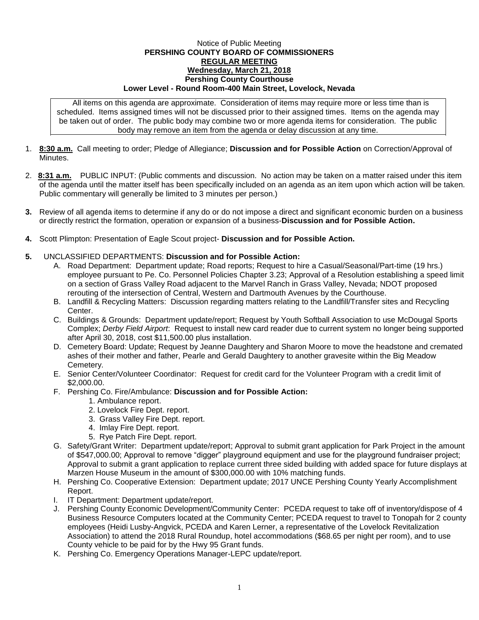## Notice of Public Meeting **PERSHING COUNTY BOARD OF COMMISSIONERS REGULAR MEETING Wednesday, March 21, 2018 Pershing County Courthouse Lower Level - Round Room-400 Main Street, Lovelock, Nevada**

All items on this agenda are approximate. Consideration of items may require more or less time than is scheduled. Items assigned times will not be discussed prior to their assigned times. Items on the agenda may be taken out of order. The public body may combine two or more agenda items for consideration. The public body may remove an item from the agenda or delay discussion at any time.

- 1. **8:30 a.m.** Call meeting to order; Pledge of Allegiance; **Discussion and for Possible Action** on Correction/Approval of **Minutes**
- 2. **8:31 a.m.** PUBLIC INPUT: (Public comments and discussion. No action may be taken on a matter raised under this item of the agenda until the matter itself has been specifically included on an agenda as an item upon which action will be taken. Public commentary will generally be limited to 3 minutes per person.)
- **3.** Review of all agenda items to determine if any do or do not impose a direct and significant economic burden on a business or directly restrict the formation, operation or expansion of a business-**Discussion and for Possible Action.**
- **4.** Scott Plimpton: Presentation of Eagle Scout project- **Discussion and for Possible Action.**

## **5.** UNCLASSIFIED DEPARTMENTS: **Discussion and for Possible Action:**

- A. Road Department: Department update; Road reports; Request to hire a Casual/Seasonal/Part-time (19 hrs.) employee pursuant to Pe. Co. Personnel Policies Chapter 3.23; Approval of a Resolution establishing a speed limit on a section of Grass Valley Road adjacent to the Marvel Ranch in Grass Valley, Nevada; NDOT proposed rerouting of the intersection of Central, Western and Dartmouth Avenues by the Courthouse.
- B. Landfill & Recycling Matters: Discussion regarding matters relating to the Landfill/Transfer sites and Recycling Center.
- C. Buildings & Grounds: Department update/report; Request by Youth Softball Association to use McDougal Sports Complex; *Derby Field Airport*: Request to install new card reader due to current system no longer being supported after April 30, 2018, cost \$11,500.00 plus installation.
- D. Cemetery Board: Update; Request by Jeanne Daughtery and Sharon Moore to move the headstone and cremated ashes of their mother and father, Pearle and Gerald Daughtery to another gravesite within the Big Meadow Cemetery.
- E. Senior Center/Volunteer Coordinator: Request for credit card for the Volunteer Program with a credit limit of \$2,000.00.
- F. Pershing Co. Fire/Ambulance: **Discussion and for Possible Action:**
	- 1. Ambulance report.
	- 2. Lovelock Fire Dept. report.
	- 3. Grass Valley Fire Dept. report.
	- 4. Imlay Fire Dept. report.
	- 5. Rye Patch Fire Dept. report.
- G. Safety/Grant Writer: Department update/report; Approval to submit grant application for Park Project in the amount of \$547,000.00; Approval to remove "digger" playground equipment and use for the playground fundraiser project; Approval to submit a grant application to replace current three sided building with added space for future displays at Marzen House Museum in the amount of \$300,000.00 with 10% matching funds.
- H. Pershing Co. Cooperative Extension: Department update; 2017 UNCE Pershing County Yearly Accomplishment Report.
- I. IT Department: Department update/report.
- J. Pershing County Economic Development/Community Center: PCEDA request to take off of inventory/dispose of 4 Business Resource Computers located at the Community Center; PCEDA request to travel to Tonopah for 2 county employees (Heidi Lusby-Angvick, PCEDA and Karen Lerner, a representative of the Lovelock Revitalization Association) to attend the 2018 Rural Roundup, hotel accommodations (\$68.65 per night per room), and to use County vehicle to be paid for by the Hwy 95 Grant funds.
- K. Pershing Co. Emergency Operations Manager-LEPC update/report.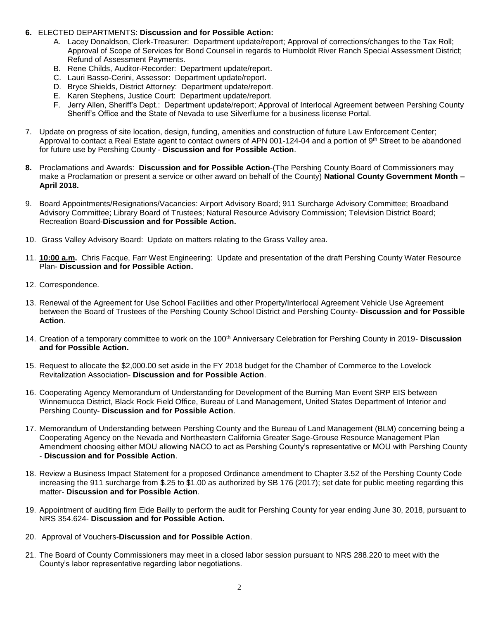## **6.** ELECTED DEPARTMENTS: **Discussion and for Possible Action:**

- A. Lacey Donaldson, Clerk-Treasurer: Department update/report; Approval of corrections/changes to the Tax Roll; Approval of Scope of Services for Bond Counsel in regards to Humboldt River Ranch Special Assessment District; Refund of Assessment Payments.
- B. Rene Childs, Auditor-Recorder: Department update/report.
- C. Lauri Basso-Cerini, Assessor: Department update/report.
- D. Bryce Shields, District Attorney: Department update/report.
- E. Karen Stephens, Justice Court: Department update/report.
- F. Jerry Allen, Sheriff's Dept.: Department update/report; Approval of Interlocal Agreement between Pershing County Sheriff's Office and the State of Nevada to use Silverflume for a business license Portal.
- 7. Update on progress of site location, design, funding, amenities and construction of future Law Enforcement Center; Approval to contact a Real Estate agent to contact owners of APN 001-124-04 and a portion of 9th Street to be abandoned for future use by Pershing County - **Discussion and for Possible Action**.
- **8.** Proclamations and Awards: **Discussion and for Possible Action**-(The Pershing County Board of Commissioners may make a Proclamation or present a service or other award on behalf of the County) **National County Government Month – April 2018.**
- 9. Board Appointments/Resignations/Vacancies: Airport Advisory Board; 911 Surcharge Advisory Committee; Broadband Advisory Committee; Library Board of Trustees; Natural Resource Advisory Commission; Television District Board; Recreation Board-**Discussion and for Possible Action.**
- 10. Grass Valley Advisory Board: Update on matters relating to the Grass Valley area.
- 11. **10:00 a.m.** Chris Facque, Farr West Engineering: Update and presentation of the draft Pershing County Water Resource Plan- **Discussion and for Possible Action.**
- 12. Correspondence.
- 13. Renewal of the Agreement for Use School Facilities and other Property/Interlocal Agreement Vehicle Use Agreement between the Board of Trustees of the Pershing County School District and Pershing County- **Discussion and for Possible Action**.
- 14. Creation of a temporary committee to work on the 100<sup>th</sup> Anniversary Celebration for Pershing County in 2019- Discussion **and for Possible Action.**
- 15. Request to allocate the \$2,000.00 set aside in the FY 2018 budget for the Chamber of Commerce to the Lovelock Revitalization Association- **Discussion and for Possible Action**.
- 16. Cooperating Agency Memorandum of Understanding for Development of the Burning Man Event SRP EIS between Winnemucca District, Black Rock Field Office, Bureau of Land Management, United States Department of Interior and Pershing County- **Discussion and for Possible Action**.
- 17. Memorandum of Understanding between Pershing County and the Bureau of Land Management (BLM) concerning being a Cooperating Agency on the Nevada and Northeastern California Greater Sage-Grouse Resource Management Plan Amendment choosing either MOU allowing NACO to act as Pershing County's representative or MOU with Pershing County - **Discussion and for Possible Action**.
- 18. Review a Business Impact Statement for a proposed Ordinance amendment to Chapter 3.52 of the Pershing County Code increasing the 911 surcharge from \$.25 to \$1.00 as authorized by SB 176 (2017); set date for public meeting regarding this matter- **Discussion and for Possible Action**.
- 19. Appointment of auditing firm Eide Bailly to perform the audit for Pershing County for year ending June 30, 2018, pursuant to NRS 354.624- **Discussion and for Possible Action.**
- 20. Approval of Vouchers-**Discussion and for Possible Action**.
- 21. The Board of County Commissioners may meet in a closed labor session pursuant to NRS 288.220 to meet with the County's labor representative regarding labor negotiations.